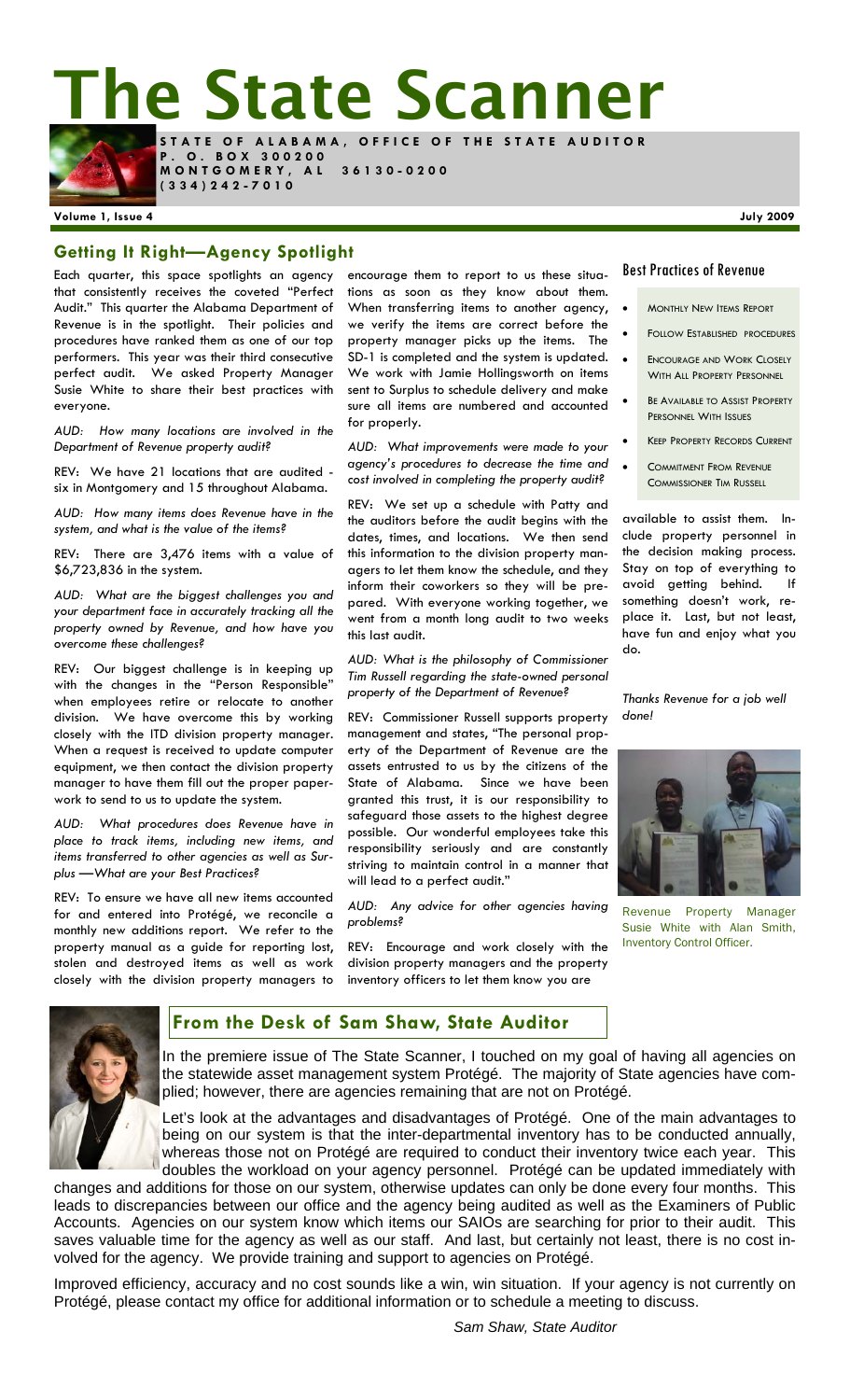**The State Scanner** 



**STATE OF ALABAMA, OFFICE OF THE STATE AUDITOR P . O . B O X 3 0 0 2 0 0 MONTGOMERY, AL 36130-0200** 

**(334)242-7010** 

### **Volume 1, Issue 4 July 2009**

### **Getting It Right—Agency Spotlight**

Each quarter, this space spotlights an agency that consistently receives the coveted "Perfect Audit." This quarter the Alabama Department of Revenue is in the spotlight. Their policies and procedures have ranked them as one of our top performers. This year was their third consecutive perfect audit. We asked Property Manager Susie White to share their best practices with everyone.

*AUD: How many locations are involved in the Department of Revenue property audit?* 

REV: We have 21 locations that are audited six in Montgomery and 15 throughout Alabama.

*AUD: How many items does Revenue have in the system, and what is the value of the items?* 

REV: There are 3,476 items with a value of \$6,723,836 in the system.

*AUD: What are the biggest challenges you and your department face in accurately tracking all the property owned by Revenue, and how have you overcome these challenges?* 

REV: Our biggest challenge is in keeping up with the changes in the "Person Responsible" when employees retire or relocate to another division. We have overcome this by working closely with the ITD division property manager. When a request is received to update computer equipment, we then contact the division property manager to have them fill out the proper paperwork to send to us to update the system.

*AUD: What procedures does Revenue have in place to track items, including new items, and items transferred to other agencies as well as Surplus —What are your Best Practices?* 

REV: To ensure we have all new items accounted for and entered into Protégé, we reconcile a monthly new additions report. We refer to the property manual as a guide for reporting lost, stolen and destroyed items as well as work closely with the division property managers to

encourage them to report to us these situations as soon as they know about them. When transferring items to another agency, we verify the items are correct before the property manager picks up the items. The SD-1 is completed and the system is updated. We work with Jamie Hollingsworth on items sent to Surplus to schedule delivery and make sure all items are numbered and accounted for properly.

*AUD: What improvements were made to your agency's procedures to decrease the time and cost involved in completing the property audit?* 

REV: We set up a schedule with Patty and the auditors before the audit begins with the dates, times, and locations. We then send this information to the division property managers to let them know the schedule, and they inform their coworkers so they will be prepared. With everyone working together, we went from a month long audit to two weeks this last audit.

*AUD: What is the philosophy of Commissioner Tim Russell regarding the state-owned personal property of the Department of Revenue?* 

REV: Commissioner Russell supports property management and states, "The personal property of the Department of Revenue are the assets entrusted to us by the citizens of the State of Alabama. Since we have been granted this trust, it is our responsibility to safeguard those assets to the highest degree possible. Our wonderful employees take this responsibility seriously and are constantly striving to maintain control in a manner that will lead to a perfect audit."

*AUD: Any advice for other agencies having problems?* 

REV: Encourage and work closely with the division property managers and the property inventory officers to let them know you are

#### Best Practices of Revenue

- **MONTHLY NEW ITEMS REPORT**
- **FOLLOW ESTABLISHED PROCEDURES**
- **ENCOURAGE AND WORK CLOSELY** WITH ALL PROPERTY PERSONNEL
- BE AVAILABLE TO ASSIST PROPERTY PERSONNEL WITH ISSUES
- KEEP PROPERTY RECORDS CURRENT
- **COMMITMENT FROM REVENUE** COMMISSIONER TIM RUSSELL

available to assist them. Include property personnel in the decision making process. Stay on top of everything to avoid getting behind. If something doesn't work, replace it. Last, but not least, have fun and enjoy what you do.

*Thanks Revenue for a job well done!* 



Revenue Property Manager Susie White with Alan Smith, Inventory Control Officer.



### **From the Desk of Sam Shaw, State Auditor**

In the premiere issue of The State Scanner, I touched on my goal of having all agencies on the statewide asset management system Protégé. The majority of State agencies have complied; however, there are agencies remaining that are not on Protégé.

Let's look at the advantages and disadvantages of Protégé. One of the main advantages to being on our system is that the inter-departmental inventory has to be conducted annually, whereas those not on Protégé are required to conduct their inventory twice each year. This doubles the workload on your agency personnel. Protégé can be updated immediately with

changes and additions for those on our system, otherwise updates can only be done every four months. This leads to discrepancies between our office and the agency being audited as well as the Examiners of Public Accounts. Agencies on our system know which items our SAIOs are searching for prior to their audit. This saves valuable time for the agency as well as our staff. And last, but certainly not least, there is no cost involved for the agency. We provide training and support to agencies on Protégé.

Improved efficiency, accuracy and no cost sounds like a win, win situation. If your agency is not currently on Protégé, please contact my office for additional information or to schedule a meeting to discuss.